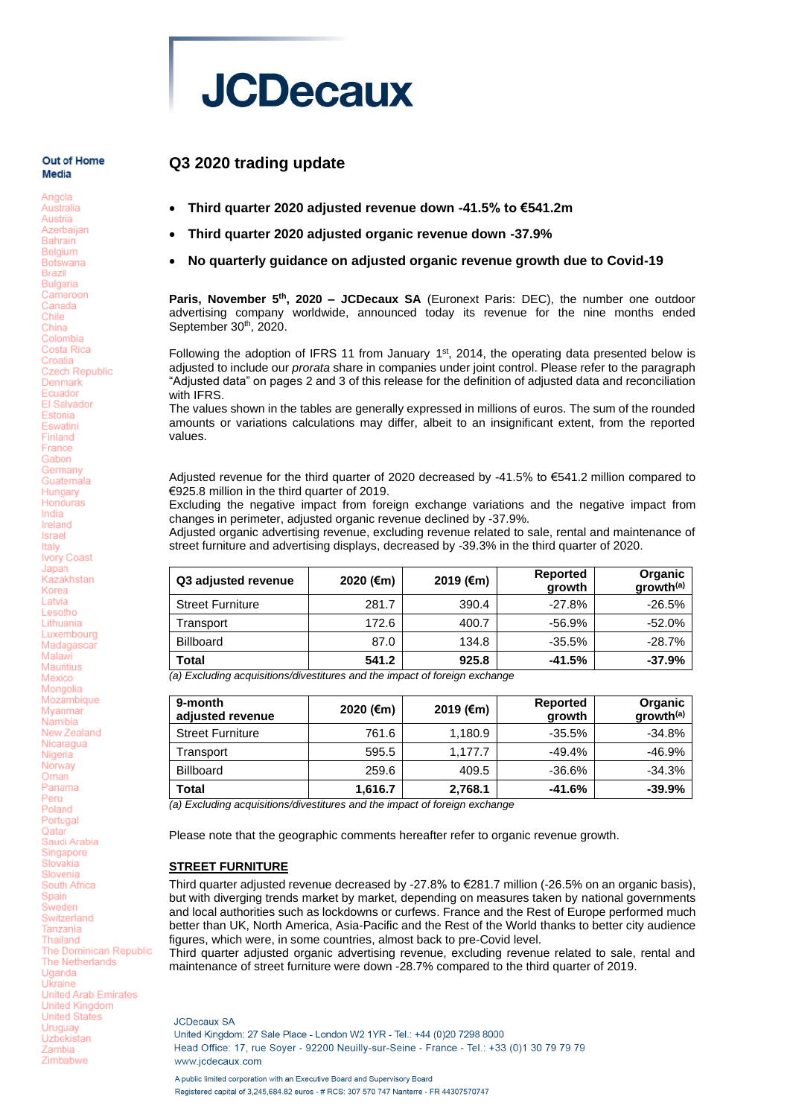# **JCDecaux**

**Q3 2020 trading update**

#### Out of Home Media

Angola

Australia Austria Azerbaijan **Bahrain** Belgium **Botswana Brazil Bulgaria** Cameroon Canada Chile China Colombia Costa Rica Croatia **Czech Republic** Denmark Ecuador **FI Salvador** Estonia Eswatini Finland Erance Gabon Germany Guatemala Hungary Honduras India Ireland Israel Italy Ivory Coast Japan Kazakhstan Korea Latvia Lesotho Lithuania Luxembourg Madagascar Malawi Mauritius Mexico Mongolia Mozambique Mvanmar Namibia New Zealand Nicaragua Nigeria Norway Oman Panama Peru Poland Portugal Qatar Saudi Arabia Singapore Slovakia Slovenia South Africa Spain Sweden Switzerland Tanzania Thailand The Dominican Republic The Netherlands Uganda Ukraine United Arab Emirates **United Kingdom** United States Uruguay Uzbekistan Zambia Zimbabwe

## • **Third quarter 2020 adjusted revenue down -41.5% to €541.2m**

- **Third quarter 2020 adjusted organic revenue down -37.9%**
- **No quarterly guidance on adjusted organic revenue growth due to Covid-19**

Paris, November 5<sup>th</sup>, 2020 – JCDecaux SA (Euronext Paris: DEC), the number one outdoor advertising company worldwide, announced today its revenue for the nine months ended September 30<sup>th</sup>, 2020.

Following the adoption of IFRS 11 from January  $1<sup>st</sup>$ , 2014, the operating data presented below is adjusted to include our *prorata* share in companies under joint control. Please refer to the paragraph "Adjusted data" on pages 2 and 3 of this release for the definition of adjusted data and reconciliation with IFRS.

The values shown in the tables are generally expressed in millions of euros. The sum of the rounded amounts or variations calculations may differ, albeit to an insignificant extent, from the reported values.

Adjusted revenue for the third quarter of 2020 decreased by -41.5% to €541.2 million compared to €925.8 million in the third quarter of 2019.

Excluding the negative impact from foreign exchange variations and the negative impact from changes in perimeter, adjusted organic revenue declined by -37.9%.

Adjusted organic advertising revenue, excluding revenue related to sale, rental and maintenance of street furniture and advertising displays, decreased by -39.3% in the third quarter of 2020.

| Q3 adjusted revenue     | 2020 (€m) | 2019 (€m) | <b>Reported</b><br>growth | Organic<br>growth <sup>(a)</sup> |
|-------------------------|-----------|-----------|---------------------------|----------------------------------|
| <b>Street Furniture</b> | 281.7     | 390.4     | $-27.8\%$                 | $-26.5%$                         |
| Transport               | 172.6     | 400.7     | $-56.9%$                  | $-52.0%$                         |
| <b>Billboard</b>        | 87.0      | 134.8     | $-35.5\%$                 | $-28.7\%$                        |
| Total                   | 541.2     | 925.8     | $-41.5%$                  | $-37.9%$                         |

*(a) Excluding acquisitions/divestitures and the impact of foreign exchange*

| 9-month<br>adjusted revenue | 2020 (€m) | 2019 (€m) | <b>Reported</b><br>growth | Organic<br>growth <sup>(a)</sup> |
|-----------------------------|-----------|-----------|---------------------------|----------------------------------|
| <b>Street Furniture</b>     | 761.6     | 1.180.9   | $-35.5%$                  | $-34.8%$                         |
| Transport                   | 595.5     | 1.177.7   | $-49.4%$                  | $-46.9%$                         |
| <b>Billboard</b>            | 259.6     | 409.5     | $-36.6\%$                 | $-34.3%$                         |
| Total                       | 1,616.7   | 2,768.1   | $-41.6%$                  | $-39.9%$                         |

*(a) Excluding acquisitions/divestitures and the impact of foreign exchange*

Please note that the geographic comments hereafter refer to organic revenue growth.

#### **STREET FURNITURE**

Third quarter adjusted revenue decreased by -27.8% to €281.7 million (-26.5% on an organic basis), but with diverging trends market by market, depending on measures taken by national governments and local authorities such as lockdowns or curfews. France and the Rest of Europe performed much better than UK, North America, Asia-Pacific and the Rest of the World thanks to better city audience figures, which were, in some countries, almost back to pre-Covid level.

Third quarter adjusted organic advertising revenue, excluding revenue related to sale, rental and maintenance of street furniture were down -28.7% compared to the third quarter of 2019.

**JCDecaux SA** United Kingdom: 27 Sale Place - London W2 1YR - Tel.: +44 (0)20 7298 8000 Head Office: 17, rue Sover - 92200 Neuilly-sur-Seine - France - Tel.: +33 (0)1 30 79 79 79 www.icdecaux.com A public limited corporation with an Executive Board and Supervisory Board

Registered capital of 3.245.684.82 euros - # RCS: 307 570 747 Nanterre - FR 44307570747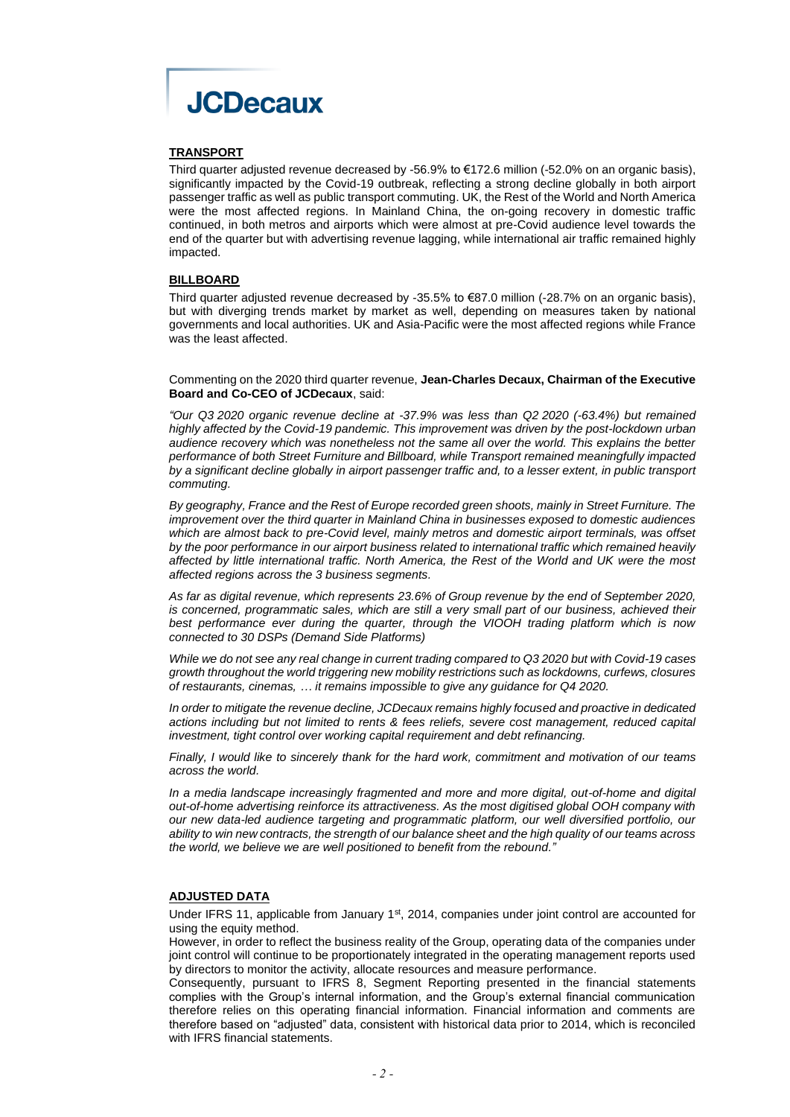

#### **TRANSPORT**

Third quarter adjusted revenue decreased by -56.9% to €172.6 million (-52.0% on an organic basis), significantly impacted by the Covid-19 outbreak, reflecting a strong decline globally in both airport passenger traffic as well as public transport commuting. UK, the Rest of the World and North America were the most affected regions. In Mainland China, the on-going recovery in domestic traffic continued, in both metros and airports which were almost at pre-Covid audience level towards the end of the quarter but with advertising revenue lagging, while international air traffic remained highly impacted.

#### **BILLBOARD**

Third quarter adjusted revenue decreased by -35.5% to €87.0 million (-28.7% on an organic basis), but with diverging trends market by market as well, depending on measures taken by national governments and local authorities. UK and Asia-Pacific were the most affected regions while France was the least affected.

Commenting on the 2020 third quarter revenue, **Jean-Charles Decaux, Chairman of the Executive Board and Co-CEO of JCDecaux**, said:

*"Our Q3 2020 organic revenue decline at -37.9% was less than Q2 2020 (-63.4%) but remained highly affected by the Covid-19 pandemic. This improvement was driven by the post-lockdown urban audience recovery which was nonetheless not the same all over the world. This explains the better performance of both Street Furniture and Billboard, while Transport remained meaningfully impacted by a significant decline globally in airport passenger traffic and, to a lesser extent, in public transport commuting.*

*By geography, France and the Rest of Europe recorded green shoots, mainly in Street Furniture. The improvement over the third quarter in Mainland China in businesses exposed to domestic audiences which are almost back to pre-Covid level, mainly metros and domestic airport terminals, was offset by the poor performance in our airport business related to international traffic which remained heavily affected by little international traffic. North America, the Rest of the World and UK were the most affected regions across the 3 business segments.*

*As far as digital revenue, which represents 23.6% of Group revenue by the end of September 2020, is concerned, programmatic sales, which are still a very small part of our business, achieved their best performance ever during the quarter, through the VIOOH trading platform which is now connected to 30 DSPs (Demand Side Platforms)*

*While we do not see any real change in current trading compared to Q3 2020 but with Covid-19 cases growth throughout the world triggering new mobility restrictions such as lockdowns, curfews, closures of restaurants, cinemas, … it remains impossible to give any guidance for Q4 2020.*

*In order to mitigate the revenue decline, JCDecaux remains highly focused and proactive in dedicated actions including but not limited to rents & fees reliefs, severe cost management, reduced capital investment, tight control over working capital requirement and debt refinancing.*

*Finally, I would like to sincerely thank for the hard work, commitment and motivation of our teams across the world.*

*In a media landscape increasingly fragmented and more and more digital, out-of-home and digital out-of-home advertising reinforce its attractiveness. As the most digitised global OOH company with our new data-led audience targeting and programmatic platform, our well diversified portfolio, our ability to win new contracts, the strength of our balance sheet and the high quality of our teams across the world, we believe we are well positioned to benefit from the rebound."*

#### **ADJUSTED DATA**

Under IFRS 11, applicable from January 1<sup>st</sup>, 2014, companies under joint control are accounted for using the equity method.

However, in order to reflect the business reality of the Group, operating data of the companies under joint control will continue to be proportionately integrated in the operating management reports used by directors to monitor the activity, allocate resources and measure performance.

Consequently, pursuant to IFRS 8, Segment Reporting presented in the financial statements complies with the Group's internal information, and the Group's external financial communication therefore relies on this operating financial information. Financial information and comments are therefore based on "adjusted" data, consistent with historical data prior to 2014, which is reconciled with IFRS financial statements.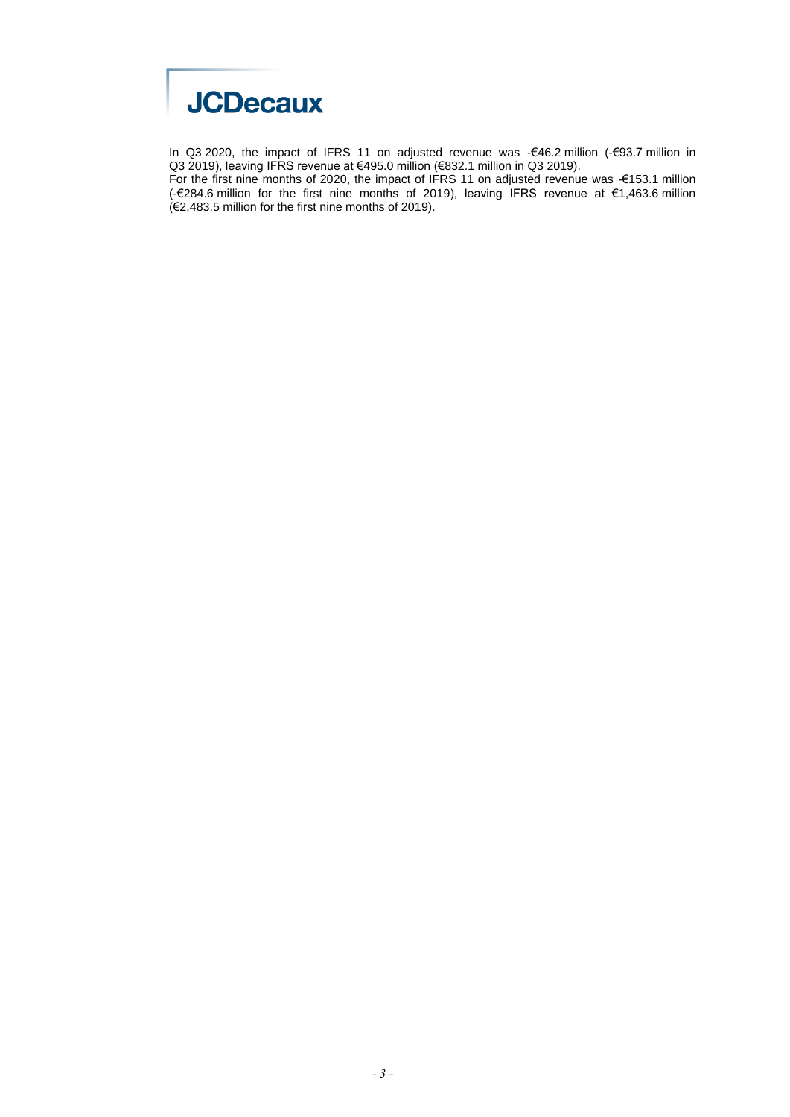

In Q3 2020, the impact of IFRS 11 on adjusted revenue was -€46.2 million (-€93.7 million in Q3 2019), leaving IFRS revenue at €495.0 million (€832.1 million in Q3 2019).

For the first nine months of 2020, the impact of IFRS 11 on adjusted revenue was -€153.1 million (-€284.6 million for the first nine months of 2019), leaving IFRS revenue at €1,463.6 million (€2,483.5 million for the first nine months of 2019).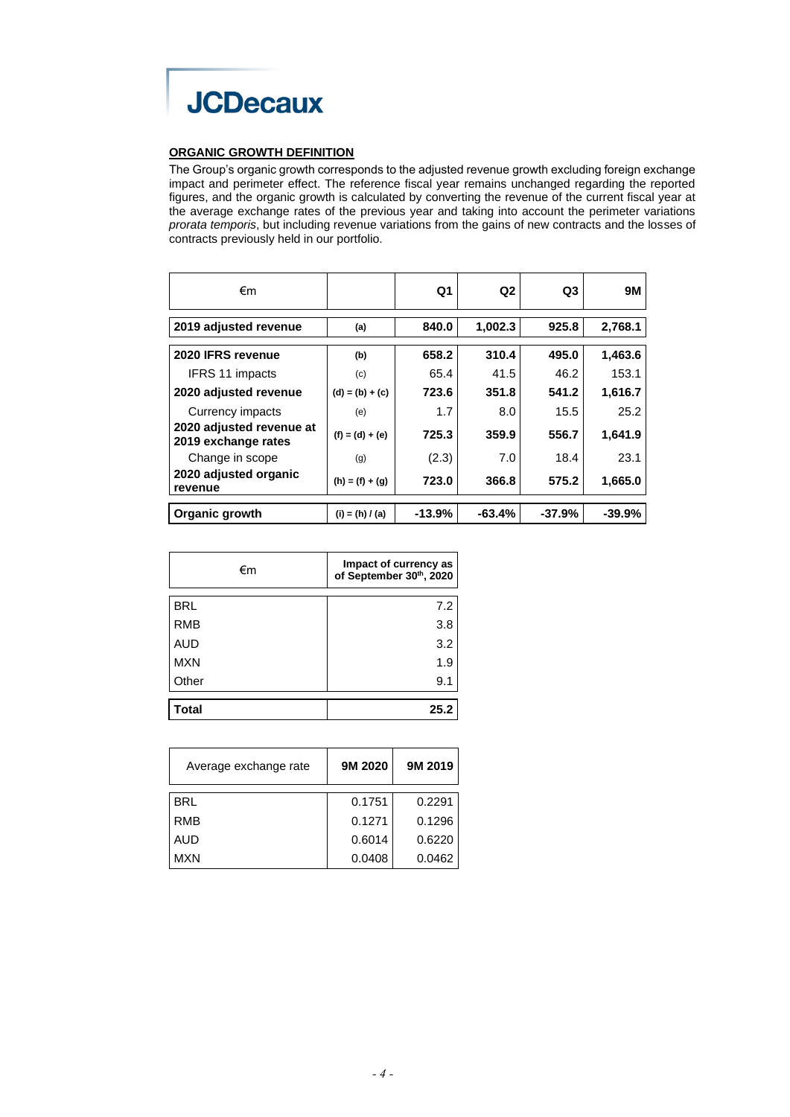

#### **ORGANIC GROWTH DEFINITION**

The Group's organic growth corresponds to the adjusted revenue growth excluding foreign exchange impact and perimeter effect. The reference fiscal year remains unchanged regarding the reported figures, and the organic growth is calculated by converting the revenue of the current fiscal year at the average exchange rates of the previous year and taking into account the perimeter variations *prorata temporis*, but including revenue variations from the gains of new contracts and the losses of contracts previously held in our portfolio.

| €m                                              |                   | Q <sub>1</sub> | Q <sub>2</sub> | Q <sub>3</sub> | <b>9M</b> |
|-------------------------------------------------|-------------------|----------------|----------------|----------------|-----------|
| 2019 adjusted revenue                           | (a)               | 840.0          | 1,002.3        | 925.8          | 2,768.1   |
| 2020 IFRS revenue                               | (b)               | 658.2          | 310.4          | 495.0          | 1,463.6   |
| IFRS 11 impacts                                 | (c)               | 65.4           | 41.5           | 46.2           | 153.1     |
| 2020 adjusted revenue                           | $(d) = (b) + (c)$ | 723.6          | 351.8          | 541.2          | 1,616.7   |
| Currency impacts                                | (e)               | 1.7            | 8.0            | 15.5           | 25.2      |
| 2020 adjusted revenue at<br>2019 exchange rates | $(f) = (d) + (e)$ | 725.3          | 359.9          | 556.7          | 1,641.9   |
| Change in scope                                 | (g)               | (2.3)          | 7.0            | 18.4           | 23.1      |
| 2020 adjusted organic<br>revenue                | $(h) = (f) + (g)$ | 723.0          | 366.8          | 575.2          | 1,665.0   |
| Organic growth                                  | $(i) = (h) / (a)$ | $-13.9%$       | $-63.4%$       | $-37.9%$       | $-39.9%$  |

| €m         | Impact of currency as<br>of September 30th, 2020 |
|------------|--------------------------------------------------|
| <b>BRL</b> | 7.2                                              |
| <b>RMB</b> | 3.8                                              |
| <b>AUD</b> | 3.2                                              |
| <b>MXN</b> | 1.9                                              |
| Other      | 9.1                                              |
| 'otal      | 25.2                                             |

| Average exchange rate | 9M 2020 | 9M 2019 |
|-----------------------|---------|---------|
| <b>BRL</b>            | 0.1751  | 0.2291  |
| <b>RMB</b>            | 0.1271  | 0.1296  |
| AUD                   | 0.6014  | 0.6220  |
| MXN                   | 0.0408  | 0.0462  |